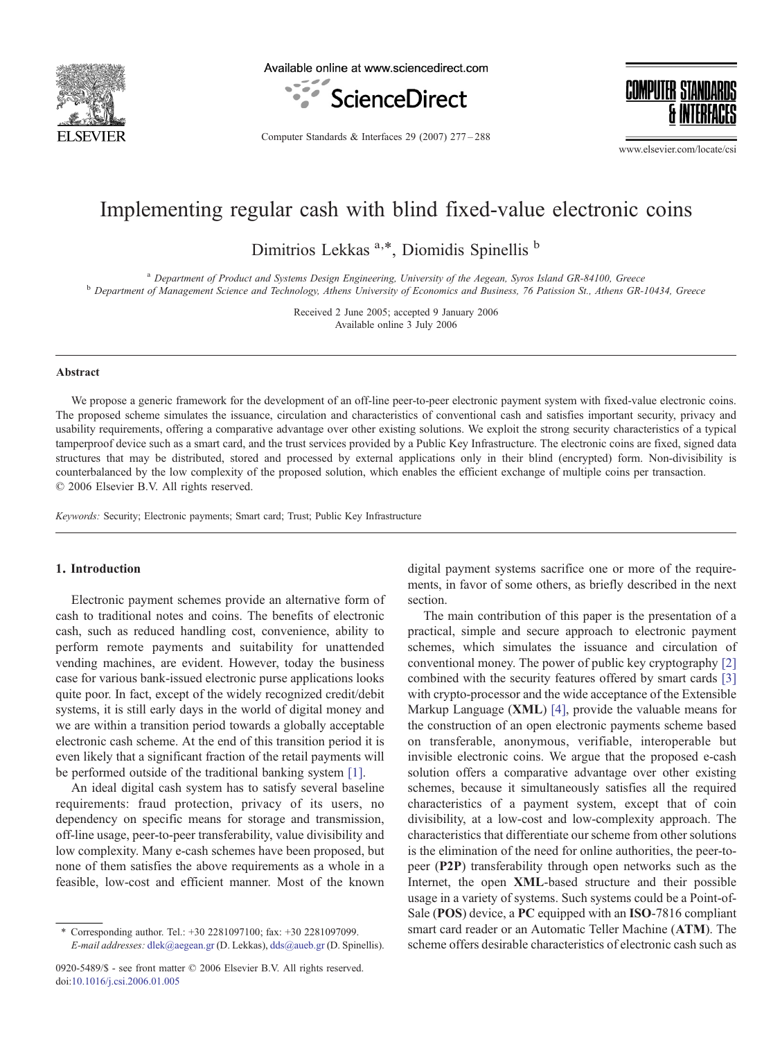

Available online at www.sciencedirect.com





Computer Standards & Interfaces 29 (2007) 277–288

www.elsevier.com/locate/csi

# Implementing regular cash with blind fixed-value electronic coins

Dimitrios Lekkas<sup>a,\*</sup>, Diomidis Spinellis<sup>b</sup>

<sup>a</sup> Department of Product and Systems Design Engineering, University of the Aegean, Syros Island GR-84100, Greece<br><sup>b</sup> Department of Management Science and Technology, Athens University of Economics and Business, 76 Patissi

Received 2 June 2005; accepted 9 January 2006 Available online 3 July 2006

### Abstract

We propose a generic framework for the development of an off-line peer-to-peer electronic payment system with fixed-value electronic coins. The proposed scheme simulates the issuance, circulation and characteristics of conventional cash and satisfies important security, privacy and usability requirements, offering a comparative advantage over other existing solutions. We exploit the strong security characteristics of a typical tamperproof device such as a smart card, and the trust services provided by a Public Key Infrastructure. The electronic coins are fixed, signed data structures that may be distributed, stored and processed by external applications only in their blind (encrypted) form. Non-divisibility is counterbalanced by the low complexity of the proposed solution, which enables the efficient exchange of multiple coins per transaction. © 2006 Elsevier B.V. All rights reserved.

Keywords: Security; Electronic payments; Smart card; Trust; Public Key Infrastructure

# 1. Introduction

Electronic payment schemes provide an alternative form of cash to traditional notes and coins. The benefits of electronic cash, such as reduced handling cost, convenience, ability to perform remote payments and suitability for unattended vending machines, are evident. However, today the business case for various bank-issued electronic purse applications looks quite poor. In fact, except of the widely recognized credit/debit systems, it is still early days in the world of digital money and we are within a transition period towards a globally acceptable electronic cash scheme. At the end of this transition period it is even likely that a significant fraction of the retail payments will be performed outside of the traditional banking system [\[1\]](#page-11-0).

An ideal digital cash system has to satisfy several baseline requirements: fraud protection, privacy of its users, no dependency on specific means for storage and transmission, off-line usage, peer-to-peer transferability, value divisibility and low complexity. Many e-cash schemes have been proposed, but none of them satisfies the above requirements as a whole in a feasible, low-cost and efficient manner. Most of the known

0920-5489/\$ - see front matter © 2006 Elsevier B.V. All rights reserved. doi:[10.1016/j.csi.2006.01.005](http://dx.doi.org/10.1016/j.csi.2006.01.005)

digital payment systems sacrifice one or more of the requirements, in favor of some others, as briefly described in the next section.

The main contribution of this paper is the presentation of a practical, simple and secure approach to electronic payment schemes, which simulates the issuance and circulation of conventional money. The power of public key cryptography [\[2\]](#page-11-0) combined with the security features offered by smart cards [\[3\]](#page-11-0) with crypto-processor and the wide acceptance of the Extensible Markup Language (XML) [\[4\]](#page-11-0), provide the valuable means for the construction of an open electronic payments scheme based on transferable, anonymous, verifiable, interoperable but invisible electronic coins. We argue that the proposed e-cash solution offers a comparative advantage over other existing schemes, because it simultaneously satisfies all the required characteristics of a payment system, except that of coin divisibility, at a low-cost and low-complexity approach. The characteristics that differentiate our scheme from other solutions is the elimination of the need for online authorities, the peer-topeer (P2P) transferability through open networks such as the Internet, the open XML-based structure and their possible usage in a variety of systems. Such systems could be a Point-of-Sale (POS) device, a PC equipped with an ISO-7816 compliant smart card reader or an Automatic Teller Machine (ATM). The scheme offers desirable characteristics of electronic cash such as

<sup>⁎</sup> Corresponding author. Tel.: +30 2281097100; fax: +30 2281097099. E-mail addresses: [dlek@aegean.gr](mailto:dlek@aegean.gr) (D. Lekkas), [dds@aueb.gr](mailto:dds@aueb.gr) (D. Spinellis).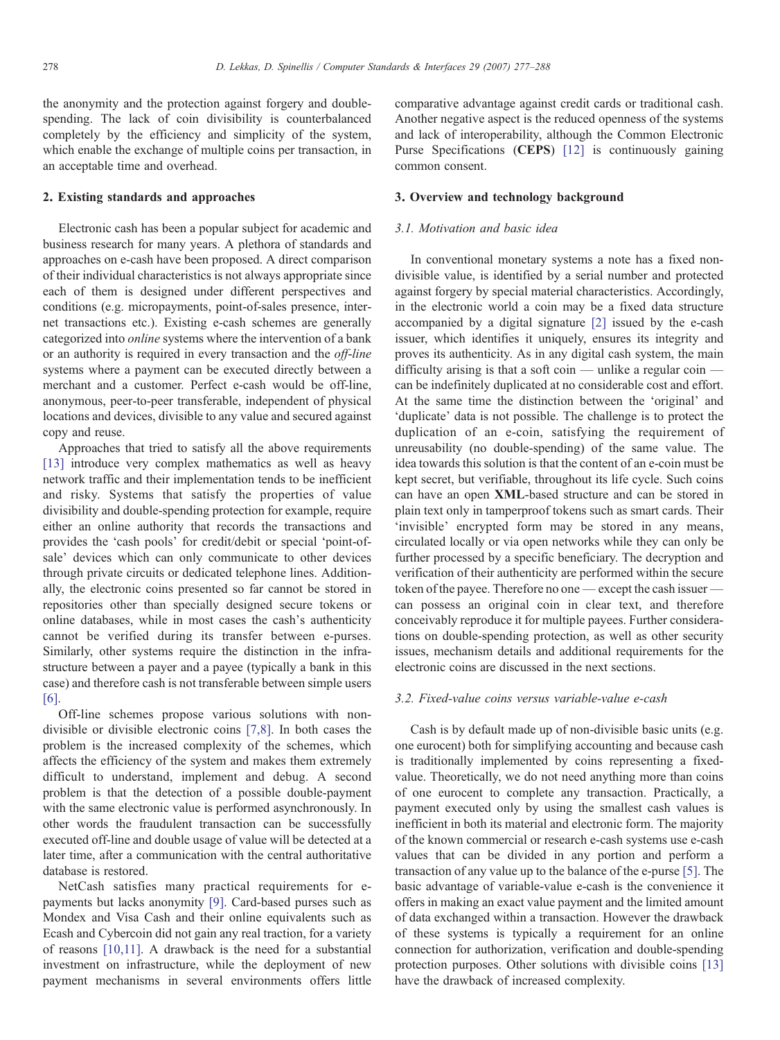the anonymity and the protection against forgery and doublespending. The lack of coin divisibility is counterbalanced completely by the efficiency and simplicity of the system, which enable the exchange of multiple coins per transaction, in an acceptable time and overhead.

### 2. Existing standards and approaches

Electronic cash has been a popular subject for academic and business research for many years. A plethora of standards and approaches on e-cash have been proposed. A direct comparison of their individual characteristics is not always appropriate since each of them is designed under different perspectives and conditions (e.g. micropayments, point-of-sales presence, internet transactions etc.). Existing e-cash schemes are generally categorized into online systems where the intervention of a bank or an authority is required in every transaction and the off-line systems where a payment can be executed directly between a merchant and a customer. Perfect e-cash would be off-line, anonymous, peer-to-peer transferable, independent of physical locations and devices, divisible to any value and secured against copy and reuse.

Approaches that tried to satisfy all the above requirements [\[13\]](#page-11-0) introduce very complex mathematics as well as heavy network traffic and their implementation tends to be inefficient and risky. Systems that satisfy the properties of value divisibility and double-spending protection for example, require either an online authority that records the transactions and provides the 'cash pools' for credit/debit or special 'point-ofsale' devices which can only communicate to other devices through private circuits or dedicated telephone lines. Additionally, the electronic coins presented so far cannot be stored in repositories other than specially designed secure tokens or online databases, while in most cases the cash's authenticity cannot be verified during its transfer between e-purses. Similarly, other systems require the distinction in the infrastructure between a payer and a payee (typically a bank in this case) and therefore cash is not transferable between simple users [\[6\]](#page-11-0).

Off-line schemes propose various solutions with nondivisible or divisible electronic coins [\[7,8\].](#page-11-0) In both cases the problem is the increased complexity of the schemes, which affects the efficiency of the system and makes them extremely difficult to understand, implement and debug. A second problem is that the detection of a possible double-payment with the same electronic value is performed asynchronously. In other words the fraudulent transaction can be successfully executed off-line and double usage of value will be detected at a later time, after a communication with the central authoritative database is restored.

NetCash satisfies many practical requirements for epayments but lacks anonymity [\[9\]](#page-11-0). Card-based purses such as Mondex and Visa Cash and their online equivalents such as Ecash and Cybercoin did not gain any real traction, for a variety of reasons [\[10,11\]](#page-11-0). A drawback is the need for a substantial investment on infrastructure, while the deployment of new payment mechanisms in several environments offers little comparative advantage against credit cards or traditional cash. Another negative aspect is the reduced openness of the systems and lack of interoperability, although the Common Electronic Purse Specifications (CEPS) [\[12\]](#page-11-0) is continuously gaining common consent.

# 3. Overview and technology background

### 3.1. Motivation and basic idea

In conventional monetary systems a note has a fixed nondivisible value, is identified by a serial number and protected against forgery by special material characteristics. Accordingly, in the electronic world a coin may be a fixed data structure accompanied by a digital signature [\[2\]](#page-11-0) issued by the e-cash issuer, which identifies it uniquely, ensures its integrity and proves its authenticity. As in any digital cash system, the main difficulty arising is that a soft coin — unlike a regular coin can be indefinitely duplicated at no considerable cost and effort. At the same time the distinction between the 'original' and 'duplicate' data is not possible. The challenge is to protect the duplication of an e-coin, satisfying the requirement of unreusability (no double-spending) of the same value. The idea towards this solution is that the content of an e-coin must be kept secret, but verifiable, throughout its life cycle. Such coins can have an open XML-based structure and can be stored in plain text only in tamperproof tokens such as smart cards. Their 'invisible' encrypted form may be stored in any means, circulated locally or via open networks while they can only be further processed by a specific beneficiary. The decryption and verification of their authenticity are performed within the secure token of the payee. Therefore no one—except the cash issuer can possess an original coin in clear text, and therefore conceivably reproduce it for multiple payees. Further considerations on double-spending protection, as well as other security issues, mechanism details and additional requirements for the electronic coins are discussed in the next sections.

# 3.2. Fixed-value coins versus variable-value e-cash

Cash is by default made up of non-divisible basic units (e.g. one eurocent) both for simplifying accounting and because cash is traditionally implemented by coins representing a fixedvalue. Theoretically, we do not need anything more than coins of one eurocent to complete any transaction. Practically, a payment executed only by using the smallest cash values is inefficient in both its material and electronic form. The majority of the known commercial or research e-cash systems use e-cash values that can be divided in any portion and perform a transaction of any value up to the balance of the e-purse [\[5\].](#page-11-0) The basic advantage of variable-value e-cash is the convenience it offers in making an exact value payment and the limited amount of data exchanged within a transaction. However the drawback of these systems is typically a requirement for an online connection for authorization, verification and double-spending protection purposes. Other solutions with divisible coins [\[13\]](#page-11-0) have the drawback of increased complexity.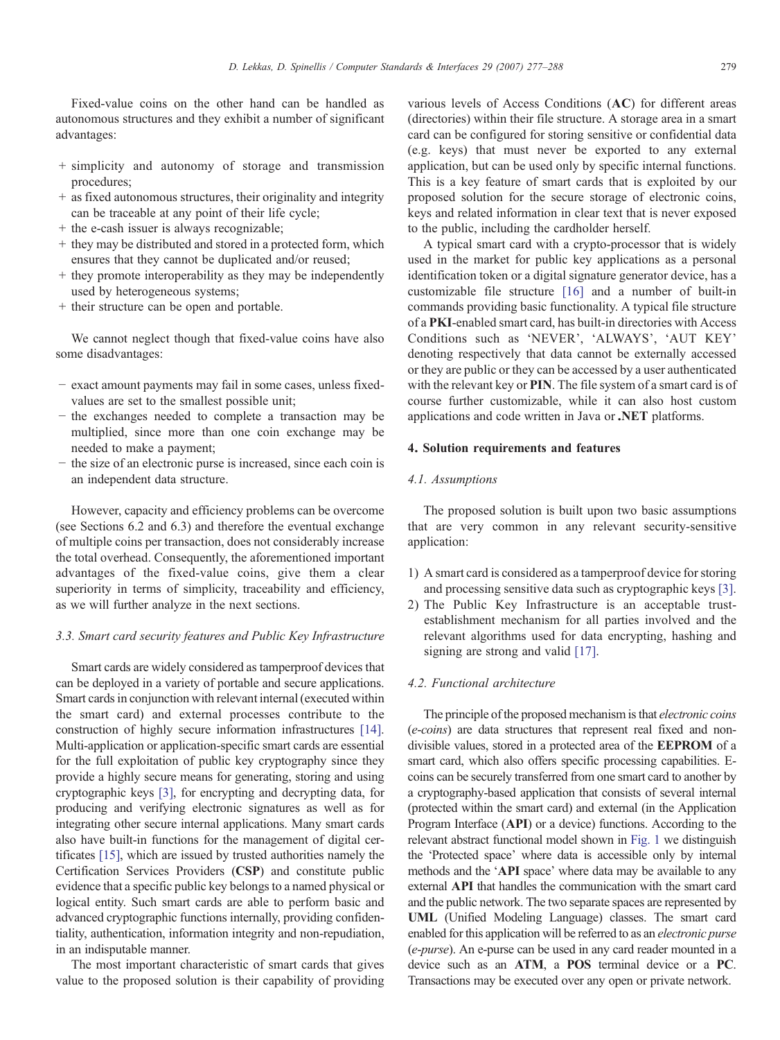Fixed-value coins on the other hand can be handled as autonomous structures and they exhibit a number of significant advantages:

- + simplicity and autonomy of storage and transmission procedures;
- + as fixed autonomous structures, their originality and integrity can be traceable at any point of their life cycle;
- + the e-cash issuer is always recognizable;
- + they may be distributed and stored in a protected form, which ensures that they cannot be duplicated and/or reused;
- + they promote interoperability as they may be independently used by heterogeneous systems;
- + their structure can be open and portable.

We cannot neglect though that fixed-value coins have also some disadvantages:

- − exact amount payments may fail in some cases, unless fixedvalues are set to the smallest possible unit;
- the exchanges needed to complete a transaction may be multiplied, since more than one coin exchange may be needed to make a payment;
- the size of an electronic purse is increased, since each coin is an independent data structure.

However, capacity and efficiency problems can be overcome (see Sections 6.2 and 6.3) and therefore the eventual exchange of multiple coins per transaction, does not considerably increase the total overhead. Consequently, the aforementioned important advantages of the fixed-value coins, give them a clear superiority in terms of simplicity, traceability and efficiency, as we will further analyze in the next sections.

### 3.3. Smart card security features and Public Key Infrastructure

Smart cards are widely considered as tamperproof devices that can be deployed in a variety of portable and secure applications. Smart cards in conjunction with relevant internal (executed within the smart card) and external processes contribute to the construction of highly secure information infrastructures [\[14\]](#page-11-0). Multi-application or application-specific smart cards are essential for the full exploitation of public key cryptography since they provide a highly secure means for generating, storing and using cryptographic keys [\[3\]](#page-11-0), for encrypting and decrypting data, for producing and verifying electronic signatures as well as for integrating other secure internal applications. Many smart cards also have built-in functions for the management of digital certificates [\[15\],](#page-11-0) which are issued by trusted authorities namely the Certification Services Providers (CSP) and constitute public evidence that a specific public key belongs to a named physical or logical entity. Such smart cards are able to perform basic and advanced cryptographic functions internally, providing confidentiality, authentication, information integrity and non-repudiation, in an indisputable manner.

The most important characteristic of smart cards that gives value to the proposed solution is their capability of providing

various levels of Access Conditions (AC) for different areas (directories) within their file structure. A storage area in a smart card can be configured for storing sensitive or confidential data (e.g. keys) that must never be exported to any external application, but can be used only by specific internal functions. This is a key feature of smart cards that is exploited by our proposed solution for the secure storage of electronic coins, keys and related information in clear text that is never exposed to the public, including the cardholder herself.

A typical smart card with a crypto-processor that is widely used in the market for public key applications as a personal identification token or a digital signature generator device, has a customizable file structure [\[16\]](#page-11-0) and a number of built-in commands providing basic functionality. A typical file structure of a PKI-enabled smart card, has built-in directories with Access Conditions such as 'NEVER', 'ALWAYS', 'AUT KEY' denoting respectively that data cannot be externally accessed or they are public or they can be accessed by a user authenticated with the relevant key or PIN. The file system of a smart card is of course further customizable, while it can also host custom applications and code written in Java or .NET platforms.

### 4. Solution requirements and features

# 4.1. Assumptions

The proposed solution is built upon two basic assumptions that are very common in any relevant security-sensitive application:

- 1) A smart card is considered as a tamperproof device for storing and processing sensitive data such as cryptographic keys [\[3\]](#page-11-0).
- 2) The Public Key Infrastructure is an acceptable trustestablishment mechanism for all parties involved and the relevant algorithms used for data encrypting, hashing and signing are strong and valid [\[17\]](#page-11-0).

### 4.2. Functional architecture

The principle of the proposed mechanism is that *electronic coins* (e-coins) are data structures that represent real fixed and nondivisible values, stored in a protected area of the EEPROM of a smart card, which also offers specific processing capabilities. Ecoins can be securely transferred from one smart card to another by a cryptography-based application that consists of several internal (protected within the smart card) and external (in the Application Program Interface (API) or a device) functions. According to the relevant abstract functional model shown in [Fig. 1](#page-3-0) we distinguish the 'Protected space' where data is accessible only by internal methods and the 'API space' where data may be available to any external API that handles the communication with the smart card and the public network. The two separate spaces are represented by UML (Unified Modeling Language) classes. The smart card enabled for this application will be referred to as an electronic purse (e-purse). An e-purse can be used in any card reader mounted in a device such as an ATM, a POS terminal device or a PC. Transactions may be executed over any open or private network.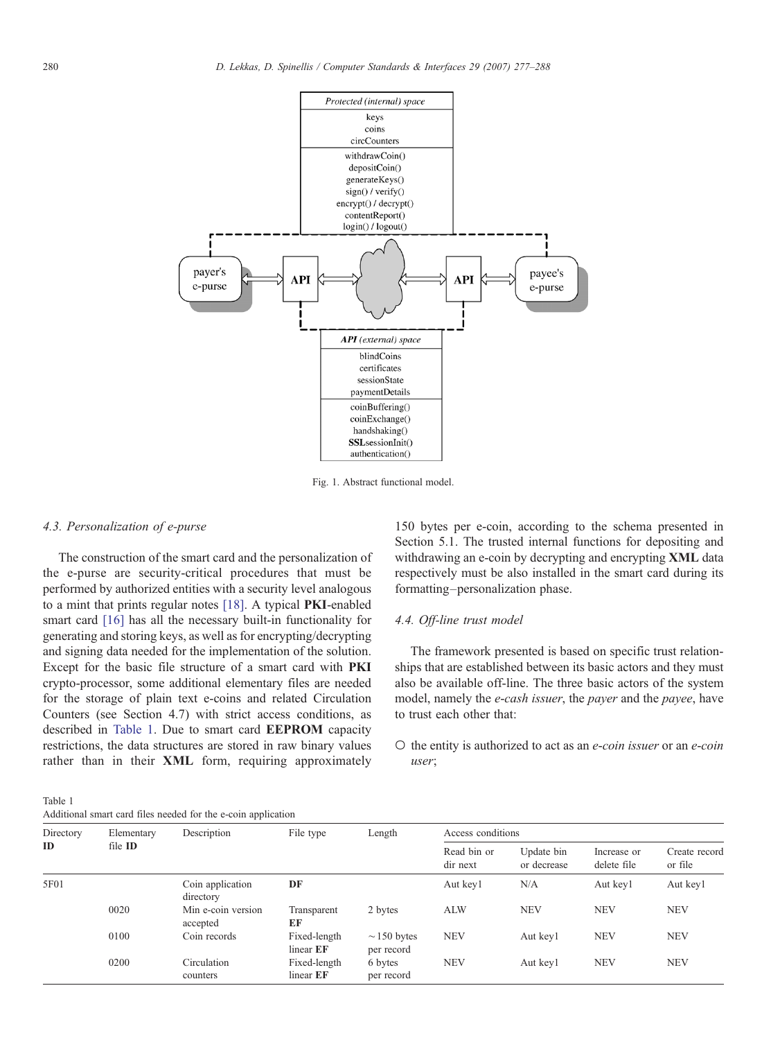<span id="page-3-0"></span>

Fig. 1. Abstract functional model.

#### 4.3. Personalization of e-purse

The construction of the smart card and the personalization of the e-purse are security-critical procedures that must be performed by authorized entities with a security level analogous to a mint that prints regular notes [\[18\].](#page-11-0) A typical PKI-enabled smart card [\[16\]](#page-11-0) has all the necessary built-in functionality for generating and storing keys, as well as for encrypting/decrypting and signing data needed for the implementation of the solution. Except for the basic file structure of a smart card with PKI crypto-processor, some additional elementary files are needed for the storage of plain text e-coins and related Circulation Counters (see Section 4.7) with strict access conditions, as described in Table 1. Due to smart card EEPROM capacity restrictions, the data structures are stored in raw binary values rather than in their XML form, requiring approximately

150 bytes per e-coin, according to the schema presented in Section 5.1. The trusted internal functions for depositing and withdrawing an e-coin by decrypting and encrypting **XML** data respectively must be also installed in the smart card during its formatting–personalization phase.

### 4.4. Off-line trust model

The framework presented is based on specific trust relationships that are established between its basic actors and they must also be available off-line. The three basic actors of the system model, namely the *e-cash issuer*, the *payer* and the *payee*, have to trust each other that:

 $\circ$  the entity is authorized to act as an *e-coin issuer* or an *e-coin* user;

| Table 1                                                       |  |
|---------------------------------------------------------------|--|
| Additional smart card files needed for the e-coin application |  |

| Directory<br><b>ID</b> | Elementary<br>file <b>ID</b> | Description                    | File type                 | Length                         | Access conditions       |                           |                            |                          |
|------------------------|------------------------------|--------------------------------|---------------------------|--------------------------------|-------------------------|---------------------------|----------------------------|--------------------------|
|                        |                              |                                |                           |                                | Read bin or<br>dir next | Update bin<br>or decrease | Increase or<br>delete file | Create record<br>or file |
| 5F01                   |                              | Coin application<br>directory  | DF                        |                                | Aut key1                | N/A                       | Aut key1                   | Aut key1                 |
|                        | 0020                         | Min e-coin version<br>accepted | Transparent<br>EF         | 2 bytes                        | <b>ALW</b>              | <b>NEV</b>                | <b>NEV</b>                 | <b>NEV</b>               |
|                        | 0100                         | Coin records                   | Fixed-length<br>linear EF | $\sim$ 150 bytes<br>per record | <b>NEV</b>              | Aut key1                  | <b>NEV</b>                 | <b>NEV</b>               |
|                        | 0200                         | Circulation<br>counters        | Fixed-length<br>linear EF | 6 bytes<br>per record          | <b>NEV</b>              | Aut key1                  | <b>NEV</b>                 | <b>NEV</b>               |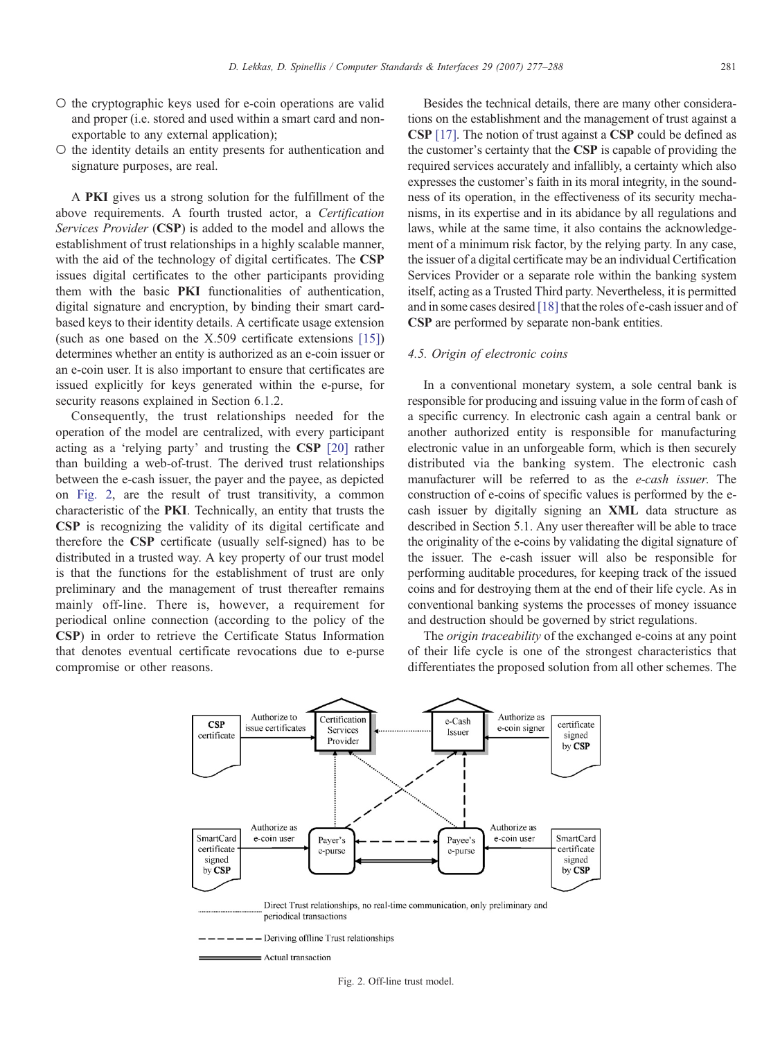- $\circ$  the cryptographic keys used for e-coin operations are valid and proper (i.e. stored and used within a smart card and nonexportable to any external application);
- the identity details an entity presents for authentication and signature purposes, are real.

A PKI gives us a strong solution for the fulfillment of the above requirements. A fourth trusted actor, a Certification Services Provider (CSP) is added to the model and allows the establishment of trust relationships in a highly scalable manner, with the aid of the technology of digital certificates. The CSP issues digital certificates to the other participants providing them with the basic PKI functionalities of authentication, digital signature and encryption, by binding their smart cardbased keys to their identity details. A certificate usage extension (such as one based on the X.509 certificate extensions [\[15\]](#page-11-0)) determines whether an entity is authorized as an e-coin issuer or an e-coin user. It is also important to ensure that certificates are issued explicitly for keys generated within the e-purse, for security reasons explained in Section 6.1.2.

Consequently, the trust relationships needed for the operation of the model are centralized, with every participant acting as a 'relying party' and trusting the CSP [\[20\]](#page-11-0) rather than building a web-of-trust. The derived trust relationships between the e-cash issuer, the payer and the payee, as depicted on Fig. 2, are the result of trust transitivity, a common characteristic of the PKI. Technically, an entity that trusts the CSP is recognizing the validity of its digital certificate and therefore the CSP certificate (usually self-signed) has to be distributed in a trusted way. A key property of our trust model is that the functions for the establishment of trust are only preliminary and the management of trust thereafter remains mainly off-line. There is, however, a requirement for periodical online connection (according to the policy of the CSP) in order to retrieve the Certificate Status Information that denotes eventual certificate revocations due to e-purse compromise or other reasons.

Besides the technical details, there are many other considerations on the establishment and the management of trust against a CSP [\[17\].](#page-11-0) The notion of trust against a CSP could be defined as the customer's certainty that the CSP is capable of providing the required services accurately and infallibly, a certainty which also expresses the customer's faith in its moral integrity, in the soundness of its operation, in the effectiveness of its security mechanisms, in its expertise and in its abidance by all regulations and laws, while at the same time, it also contains the acknowledgement of a minimum risk factor, by the relying party. In any case, the issuer of a digital certificate may be an individual Certification Services Provider or a separate role within the banking system itself, acting as a Trusted Third party. Nevertheless, it is permitted and in some cases desired [\[18\]](#page-11-0) that the roles of e-cash issuer and of CSP are performed by separate non-bank entities.

### 4.5. Origin of electronic coins

In a conventional monetary system, a sole central bank is responsible for producing and issuing value in the form of cash of a specific currency. In electronic cash again a central bank or another authorized entity is responsible for manufacturing electronic value in an unforgeable form, which is then securely distributed via the banking system. The electronic cash manufacturer will be referred to as the e-cash issuer. The construction of e-coins of specific values is performed by the ecash issuer by digitally signing an XML data structure as described in Section 5.1. Any user thereafter will be able to trace the originality of the e-coins by validating the digital signature of the issuer. The e-cash issuer will also be responsible for performing auditable procedures, for keeping track of the issued coins and for destroying them at the end of their life cycle. As in conventional banking systems the processes of money issuance and destruction should be governed by strict regulations.

The *origin traceability* of the exchanged e-coins at any point of their life cycle is one of the strongest characteristics that differentiates the proposed solution from all other schemes. The



Fig. 2. Off-line trust model.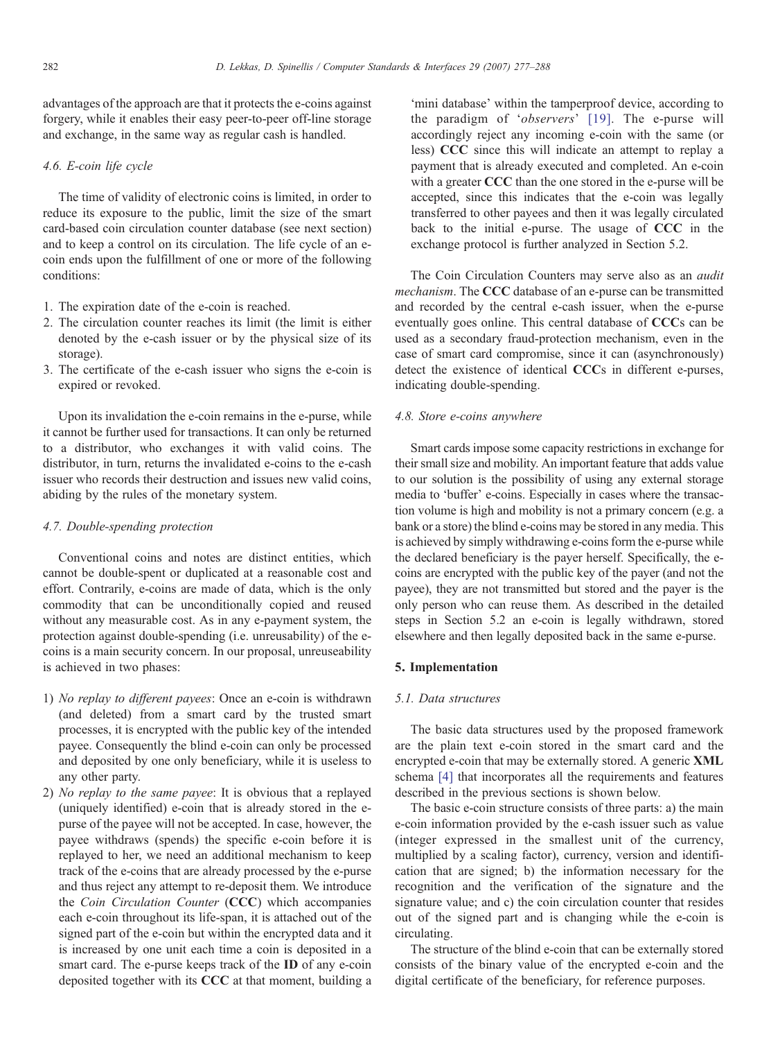advantages of the approach are that it protects the e-coins against forgery, while it enables their easy peer-to-peer off-line storage and exchange, in the same way as regular cash is handled.

### 4.6. E-coin life cycle

The time of validity of electronic coins is limited, in order to reduce its exposure to the public, limit the size of the smart card-based coin circulation counter database (see next section) and to keep a control on its circulation. The life cycle of an ecoin ends upon the fulfillment of one or more of the following conditions:

- 1. The expiration date of the e-coin is reached.
- 2. The circulation counter reaches its limit (the limit is either denoted by the e-cash issuer or by the physical size of its storage).
- 3. The certificate of the e-cash issuer who signs the e-coin is expired or revoked.

Upon its invalidation the e-coin remains in the e-purse, while it cannot be further used for transactions. It can only be returned to a distributor, who exchanges it with valid coins. The distributor, in turn, returns the invalidated e-coins to the e-cash issuer who records their destruction and issues new valid coins, abiding by the rules of the monetary system.

#### 4.7. Double-spending protection

Conventional coins and notes are distinct entities, which cannot be double-spent or duplicated at a reasonable cost and effort. Contrarily, e-coins are made of data, which is the only commodity that can be unconditionally copied and reused without any measurable cost. As in any e-payment system, the protection against double-spending (i.e. unreusability) of the ecoins is a main security concern. In our proposal, unreuseability is achieved in two phases:

- 1) No replay to different payees: Once an e-coin is withdrawn (and deleted) from a smart card by the trusted smart processes, it is encrypted with the public key of the intended payee. Consequently the blind e-coin can only be processed and deposited by one only beneficiary, while it is useless to any other party.
- 2) No replay to the same payee: It is obvious that a replayed (uniquely identified) e-coin that is already stored in the epurse of the payee will not be accepted. In case, however, the payee withdraws (spends) the specific e-coin before it is replayed to her, we need an additional mechanism to keep track of the e-coins that are already processed by the e-purse and thus reject any attempt to re-deposit them. We introduce the Coin Circulation Counter (CCC) which accompanies each e-coin throughout its life-span, it is attached out of the signed part of the e-coin but within the encrypted data and it is increased by one unit each time a coin is deposited in a smart card. The e-purse keeps track of the ID of any e-coin deposited together with its CCC at that moment, building a

'mini database' within the tamperproof device, according to the paradigm of 'observers' [\[19\].](#page-11-0) The e-purse will accordingly reject any incoming e-coin with the same (or less) CCC since this will indicate an attempt to replay a payment that is already executed and completed. An e-coin with a greater CCC than the one stored in the e-purse will be accepted, since this indicates that the e-coin was legally transferred to other payees and then it was legally circulated back to the initial e-purse. The usage of CCC in the exchange protocol is further analyzed in Section 5.2.

The Coin Circulation Counters may serve also as an *audit* mechanism. The CCC database of an e-purse can be transmitted and recorded by the central e-cash issuer, when the e-purse eventually goes online. This central database of CCCs can be used as a secondary fraud-protection mechanism, even in the case of smart card compromise, since it can (asynchronously) detect the existence of identical CCCs in different e-purses, indicating double-spending.

# 4.8. Store e-coins anywhere

Smart cards impose some capacity restrictions in exchange for their small size and mobility. An important feature that adds value to our solution is the possibility of using any external storage media to 'buffer' e-coins. Especially in cases where the transaction volume is high and mobility is not a primary concern (e.g. a bank or a store) the blind e-coins may be stored in any media. This is achieved by simply withdrawing e-coins form the e-purse while the declared beneficiary is the payer herself. Specifically, the ecoins are encrypted with the public key of the payer (and not the payee), they are not transmitted but stored and the payer is the only person who can reuse them. As described in the detailed steps in Section 5.2 an e-coin is legally withdrawn, stored elsewhere and then legally deposited back in the same e-purse.

# 5. Implementation

### 5.1. Data structures

The basic data structures used by the proposed framework are the plain text e-coin stored in the smart card and the encrypted e-coin that may be externally stored. A generic XML schema [\[4\]](#page-11-0) that incorporates all the requirements and features described in the previous sections is shown below.

The basic e-coin structure consists of three parts: a) the main e-coin information provided by the e-cash issuer such as value (integer expressed in the smallest unit of the currency, multiplied by a scaling factor), currency, version and identification that are signed; b) the information necessary for the recognition and the verification of the signature and the signature value; and c) the coin circulation counter that resides out of the signed part and is changing while the e-coin is circulating.

The structure of the blind e-coin that can be externally stored consists of the binary value of the encrypted e-coin and the digital certificate of the beneficiary, for reference purposes.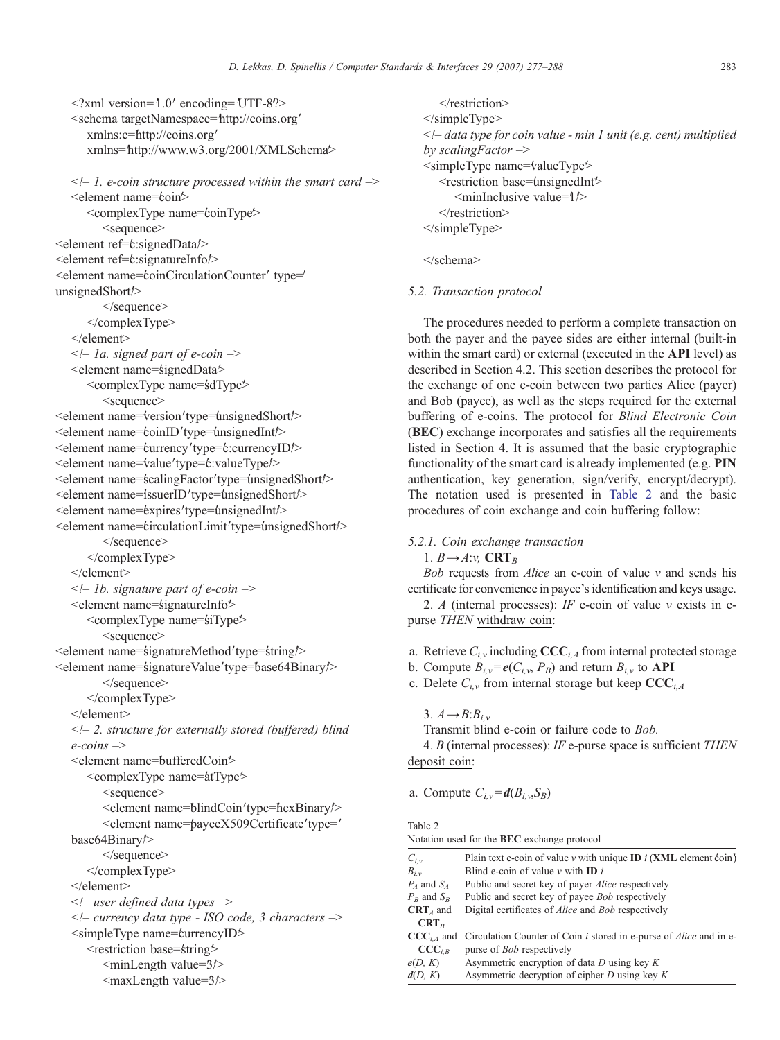<schema targetNamespace=http://coins.org/  $xmlns:c=http://coins.org/$ xmlns=http://www.w3.org/2001/XMLSchema $\geq$  $\leq -1$ . e-coin structure processed within the smart card  $\geq$  $\leq$ element name= $\leq$ oin $\geq$  $\leq$ complexType name=coinType $\geq$  $<$ sequence $>$ <element ref=c:signedData/>  $\leq$ element ref= $\&$ :signatureInfo $\&$ <element name=coinCirculationCounter' type= unsignedShort/>  $\le$ /sequence>  $<$ /complexType $>$  $\le$ /element $>$  $\leq -1a$ . signed part of e-coin  $\Rightarrow$ <element name=signedData> <complexType name=sdType>  $<$ sequence $>$ <element name=version'type=unsignedShort/>  $\leq$ element name=coinID' type=unsignedInt /> <element name=currency'type=c:currencyID/> <element name=value/type=c:valueType/> <element name=scalingFactor' type=unsignedShort/>  $\leq$ element name=issuerID' type=unsignedShort/>  $\leq$ element name= $\leq$ xpires'type=unsignedInt $\geq$  $\leq$ element name=circulationLimit' type=unsignedShort />  $\le$ /sequence $>$  $<$ /complexType $>$  $\le$ /element $>$  $\leq -1b$ . signature part of e-coin  $\geq$  $\leq$ element name=signatureInfo $\geq$  $\leq$ complexType name=siType $\geq$  $<$ sequence $>$  $\leq$ element name=signatureMethod' type=string /> <element name=signatureValue'type=base64Binary/>  $\le$ /sequence>  $<$ /complexType $>$  $\le$ /element $>$  $\leq$  2. structure for externally stored (buffered) blind  $e\text{-}coins \rightarrow$ <element name=bufferedCoin >  $\leq$ complexType name=atType $\geq$  $<$ sequence $>$  $\leq$ element name=blindCoin'type=hexBinary/> <element name=payeeX509Certificate'type=' base64Binary/>  $\le$ /sequence>  $<$ /complexType $>$  $\triangle$ element $\triangleright$  $\leq$  - user defined data types  $\Rightarrow$  $\leq$  – currency data type - ISO code, 3 characters  $\Rightarrow$  $\le$ simpleType name=currencyID  $\ge$  $\epsilon$  -restriction base=string  $\epsilon$  $\text{SminLength value}=3/5$  $<$ maxLength value= $3/$ 

 $\leq$ ?xml version=1.0' encoding= UTF-8? $>$ 

```
\le/restriction>
\le/simpleType>\leq data type for coin value - min 1 unit (e.g. cent) multiplied
by scaling Factor \rightarrow\leqsimpleType name=\veealueType\geq\epsilonrestriction base=unsignedInt \epsilon\leqminInclusive value=1/\geq\le/restriction>
\le/simpleType>
```
# $<$ /schema $>$

### 5.2. Transaction protocol

The procedures needed to perform a complete transaction on both the payer and the payee sides are either internal (built-in within the smart card) or external (executed in the API level) as described in Section 4.2. This section describes the protocol for the exchange of one e-coin between two parties Alice (payer) and Bob (payee), as well as the steps required for the external buffering of e-coins. The protocol for Blind Electronic Coin (BEC) exchange incorporates and satisfies all the requirements listed in Section 4. It is assumed that the basic cryptographic functionality of the smart card is already implemented (e.g. PIN authentication, key generation, sign/verify, encrypt/decrypt). The notation used is presented in Table 2 and the basic procedures of coin exchange and coin buffering follow:

# 5.2.1. Coin exchange transaction

### 1.  $B \rightarrow A:\nu$ , CRT<sub>B</sub>

Bob requests from  $Alice$  an e-coin of value  $v$  and sends his certificate for convenience in payee's identification and keys usage.

2. A (internal processes):  $IF$  e-coin of value  $v$  exists in epurse THEN withdraw coin:

a. Retrieve  $C_{i,v}$  including  $\mathbf{CCC}_{i,A}$  from internal protected storage

b. Compute  $B_{i,v} = e(C_{i,v}, P_B)$  and return  $B_{i,v}$  to **API** 

c. Delete  $C_{i,v}$  from internal storage but keep  $\mathbf{CCC}_{i,A}$ 

# 3.  $A \rightarrow B:B_{i,v}$

Transmit blind e-coin or failure code to Bob.

4. B (internal processes):  $IF$  e-purse space is sufficient  $THEN$ deposit coin:

```
a. Compute C_{i,v} = d(B_{i,v},S_B)
```

| Table |  |
|-------|--|
|       |  |

| Notation used for the <b>BEC</b> exchange protocol |                                                                                     |  |  |
|----------------------------------------------------|-------------------------------------------------------------------------------------|--|--|
| $C_{i,v}$                                          | Plain text e-coin of value $\nu$ with unique <b>ID</b> i ( <b>XML</b> element coin) |  |  |
| $B_{i,v}$                                          | Blind e-coin of value $\nu$ with <b>ID</b> i                                        |  |  |
| $P_A$ and $S_A$                                    | Public and secret key of payer <i>Alice</i> respectively                            |  |  |
| $P_R$ and $S_R$                                    | Public and secret key of payee <i>Bob</i> respectively                              |  |  |
| $\text{CRT}_4$ and                                 | Digital certificates of <i>Alice</i> and <i>Bob</i> respectively                    |  |  |
| $CRT_R$                                            |                                                                                     |  |  |
| $\mathbf{CCC}_{i}$ and                             | Circulation Counter of Coin <i>i</i> stored in e-purse of <i>Alice</i> and in e-    |  |  |
| $\mathbf{CCC}_{iB}$                                | purse of <i>Bob</i> respectively                                                    |  |  |
| e(D, K)                                            | Asymmetric encryption of data $D$ using key $K$                                     |  |  |
| d(D, K)                                            | Asymmetric decryption of cipher $D$ using key $K$                                   |  |  |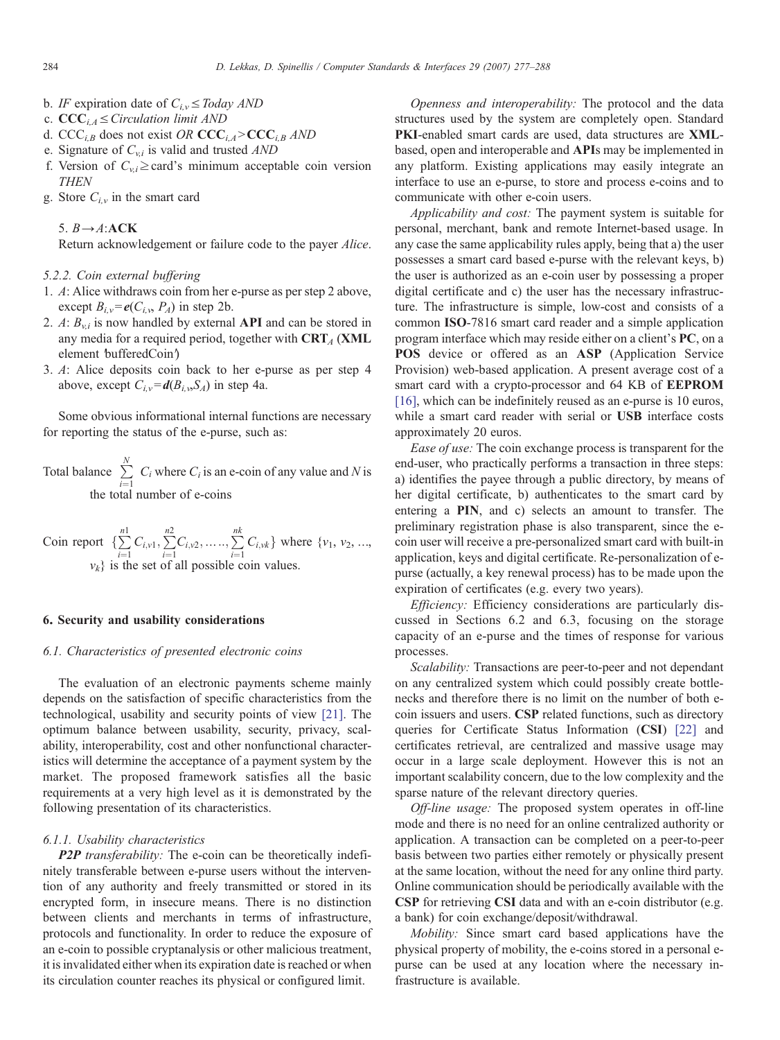- b. IF expiration date of  $C_{i,v} \leq Today AND$
- c.  $\mathbf{CCC}_{iA} \leq Circulation$  limit AND
- d. CCC<sub>i,B</sub> does not exist OR CCC<sub>i,A</sub> > CCC<sub>i,B</sub> AND
- e. Signature of  $C_{vi}$  is valid and trusted AND
- f. Version of  $C_{vi} \geq$  card's minimum acceptable coin version **THEN**
- g. Store  $C_{i,v}$  in the smart card

### 5.  $B \rightarrow A$ : ACK

Return acknowledgement or failure code to the payer Alice.

#### 5.2.2. Coin external buffering

- 1. A: Alice withdraws coin from her e-purse as per step 2 above, except  $B_{i,v} = e(C_{i,v}, P_A)$  in step 2b.
- 2. A:  $B_{\nu i}$  is now handled by external API and can be stored in any media for a required period, together with  $\text{CRT}_A (\text{XML})$ element bufferedCoin')
- 3. A: Alice deposits coin back to her e-purse as per step 4 above, except  $C_{i,v} = d(B_{i,v},S_A)$  in step 4a.

Some obvious informational internal functions are necessary for reporting the status of the e-purse, such as:

Total balance  $\sum_{i=1}^{N} C_i$  where  $C_i$  is an e-coin of any value and N is the total number of e-coins

Coin report  $\left\{ \sum_{i=1}^{n1} \right\}$  $i=1$  $C_{i,v1}, \sum^{n2}$  $i=1$  $C_{i,v2}, \ldots, \sum^{nk}$  $\sum_{i=1}$  C<sub>i,vk</sub>} where {v<sub>1</sub>, v<sub>2</sub>, ...,  $v_k$ } is the set of all possible coin values.

### 6. Security and usability considerations

### 6.1. Characteristics of presented electronic coins

The evaluation of an electronic payments scheme mainly depends on the satisfaction of specific characteristics from the technological, usability and security points of view [\[21\]](#page-11-0). The optimum balance between usability, security, privacy, scalability, interoperability, cost and other nonfunctional characteristics will determine the acceptance of a payment system by the market. The proposed framework satisfies all the basic requirements at a very high level as it is demonstrated by the following presentation of its characteristics.

# 6.1.1. Usability characteristics

P2P transferability: The e-coin can be theoretically indefinitely transferable between e-purse users without the intervention of any authority and freely transmitted or stored in its encrypted form, in insecure means. There is no distinction between clients and merchants in terms of infrastructure, protocols and functionality. In order to reduce the exposure of an e-coin to possible cryptanalysis or other malicious treatment, it is invalidated either when its expiration date is reached or when its circulation counter reaches its physical or configured limit.

Openness and interoperability: The protocol and the data structures used by the system are completely open. Standard PKI-enabled smart cards are used, data structures are XMLbased, open and interoperable and APIs may be implemented in any platform. Existing applications may easily integrate an interface to use an e-purse, to store and process e-coins and to communicate with other e-coin users.

Applicability and cost: The payment system is suitable for personal, merchant, bank and remote Internet-based usage. In any case the same applicability rules apply, being that a) the user possesses a smart card based e-purse with the relevant keys, b) the user is authorized as an e-coin user by possessing a proper digital certificate and c) the user has the necessary infrastructure. The infrastructure is simple, low-cost and consists of a common ISO-7816 smart card reader and a simple application program interface which may reside either on a client's PC, on a POS device or offered as an ASP (Application Service Provision) web-based application. A present average cost of a smart card with a crypto-processor and 64 KB of EEPROM [\[16\]](#page-11-0), which can be indefinitely reused as an e-purse is 10 euros, while a smart card reader with serial or USB interface costs approximately 20 euros.

Ease of use: The coin exchange process is transparent for the end-user, who practically performs a transaction in three steps: a) identifies the payee through a public directory, by means of her digital certificate, b) authenticates to the smart card by entering a PIN, and c) selects an amount to transfer. The preliminary registration phase is also transparent, since the ecoin user will receive a pre-personalized smart card with built-in application, keys and digital certificate. Re-personalization of epurse (actually, a key renewal process) has to be made upon the expiration of certificates (e.g. every two years).

Efficiency: Efficiency considerations are particularly discussed in Sections 6.2 and 6.3, focusing on the storage capacity of an e-purse and the times of response for various processes.

Scalability: Transactions are peer-to-peer and not dependant on any centralized system which could possibly create bottlenecks and therefore there is no limit on the number of both ecoin issuers and users. CSP related functions, such as directory queries for Certificate Status Information (CSI) [\[22\]](#page-11-0) and certificates retrieval, are centralized and massive usage may occur in a large scale deployment. However this is not an important scalability concern, due to the low complexity and the sparse nature of the relevant directory queries.

Off-line usage: The proposed system operates in off-line mode and there is no need for an online centralized authority or application. A transaction can be completed on a peer-to-peer basis between two parties either remotely or physically present at the same location, without the need for any online third party. Online communication should be periodically available with the CSP for retrieving CSI data and with an e-coin distributor (e.g. a bank) for coin exchange/deposit/withdrawal.

Mobility: Since smart card based applications have the physical property of mobility, the e-coins stored in a personal epurse can be used at any location where the necessary infrastructure is available.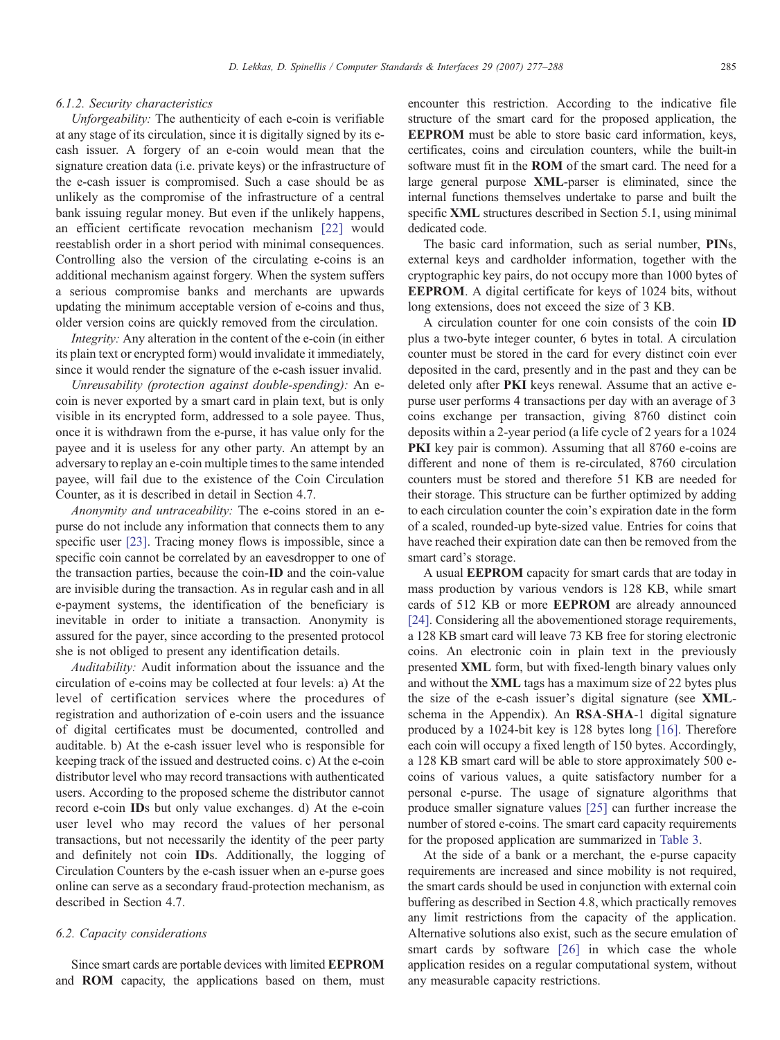#### 6.1.2. Security characteristics

Unforgeability: The authenticity of each e-coin is verifiable at any stage of its circulation, since it is digitally signed by its ecash issuer. A forgery of an e-coin would mean that the signature creation data (i.e. private keys) or the infrastructure of the e-cash issuer is compromised. Such a case should be as unlikely as the compromise of the infrastructure of a central bank issuing regular money. But even if the unlikely happens, an efficient certificate revocation mechanism [\[22\]](#page-11-0) would reestablish order in a short period with minimal consequences. Controlling also the version of the circulating e-coins is an additional mechanism against forgery. When the system suffers a serious compromise banks and merchants are upwards updating the minimum acceptable version of e-coins and thus, older version coins are quickly removed from the circulation.

Integrity: Any alteration in the content of the e-coin (in either its plain text or encrypted form) would invalidate it immediately, since it would render the signature of the e-cash issuer invalid.

Unreusability (protection against double-spending): An ecoin is never exported by a smart card in plain text, but is only visible in its encrypted form, addressed to a sole payee. Thus, once it is withdrawn from the e-purse, it has value only for the payee and it is useless for any other party. An attempt by an adversary to replay an e-coin multiple times to the same intended payee, will fail due to the existence of the Coin Circulation Counter, as it is described in detail in Section 4.7.

Anonymity and untraceability: The e-coins stored in an epurse do not include any information that connects them to any specific user [\[23\]](#page-11-0). Tracing money flows is impossible, since a specific coin cannot be correlated by an eavesdropper to one of the transaction parties, because the coin-ID and the coin-value are invisible during the transaction. As in regular cash and in all e-payment systems, the identification of the beneficiary is inevitable in order to initiate a transaction. Anonymity is assured for the payer, since according to the presented protocol she is not obliged to present any identification details.

Auditability: Audit information about the issuance and the circulation of e-coins may be collected at four levels: a) At the level of certification services where the procedures of registration and authorization of e-coin users and the issuance of digital certificates must be documented, controlled and auditable. b) At the e-cash issuer level who is responsible for keeping track of the issued and destructed coins. c) At the e-coin distributor level who may record transactions with authenticated users. According to the proposed scheme the distributor cannot record e-coin IDs but only value exchanges. d) At the e-coin user level who may record the values of her personal transactions, but not necessarily the identity of the peer party and definitely not coin IDs. Additionally, the logging of Circulation Counters by the e-cash issuer when an e-purse goes online can serve as a secondary fraud-protection mechanism, as described in Section 4.7.

### 6.2. Capacity considerations

Since smart cards are portable devices with limited EEPROM and ROM capacity, the applications based on them, must encounter this restriction. According to the indicative file structure of the smart card for the proposed application, the EEPROM must be able to store basic card information, keys, certificates, coins and circulation counters, while the built-in software must fit in the ROM of the smart card. The need for a large general purpose XML-parser is eliminated, since the internal functions themselves undertake to parse and built the specific XML structures described in Section 5.1, using minimal dedicated code.

The basic card information, such as serial number, PINs, external keys and cardholder information, together with the cryptographic key pairs, do not occupy more than 1000 bytes of EEPROM. A digital certificate for keys of 1024 bits, without long extensions, does not exceed the size of 3 KB.

A circulation counter for one coin consists of the coin ID plus a two-byte integer counter, 6 bytes in total. A circulation counter must be stored in the card for every distinct coin ever deposited in the card, presently and in the past and they can be deleted only after PKI keys renewal. Assume that an active epurse user performs 4 transactions per day with an average of 3 coins exchange per transaction, giving 8760 distinct coin deposits within a 2-year period (a life cycle of 2 years for a 1024 PKI key pair is common). Assuming that all 8760 e-coins are different and none of them is re-circulated, 8760 circulation counters must be stored and therefore 51 KB are needed for their storage. This structure can be further optimized by adding to each circulation counter the coin's expiration date in the form of a scaled, rounded-up byte-sized value. Entries for coins that have reached their expiration date can then be removed from the smart card's storage.

A usual EEPROM capacity for smart cards that are today in mass production by various vendors is 128 KB, while smart cards of 512 KB or more EEPROM are already announced [\[24\].](#page-11-0) Considering all the abovementioned storage requirements, a 128 KB smart card will leave 73 KB free for storing electronic coins. An electronic coin in plain text in the previously presented XML form, but with fixed-length binary values only and without the XML tags has a maximum size of 22 bytes plus the size of the e-cash issuer's digital signature (see XMLschema in the Appendix). An RSA-SHA-1 digital signature produced by a 1024-bit key is 128 bytes long [\[16\].](#page-11-0) Therefore each coin will occupy a fixed length of 150 bytes. Accordingly, a 128 KB smart card will be able to store approximately 500 ecoins of various values, a quite satisfactory number for a personal e-purse. The usage of signature algorithms that produce smaller signature values [\[25\]](#page-11-0) can further increase the number of stored e-coins. The smart card capacity requirements for the proposed application are summarized in [Table 3.](#page-9-0)

At the side of a bank or a merchant, the e-purse capacity requirements are increased and since mobility is not required, the smart cards should be used in conjunction with external coin buffering as described in Section 4.8, which practically removes any limit restrictions from the capacity of the application. Alternative solutions also exist, such as the secure emulation of smart cards by software [\[26\]](#page-11-0) in which case the whole application resides on a regular computational system, without any measurable capacity restrictions.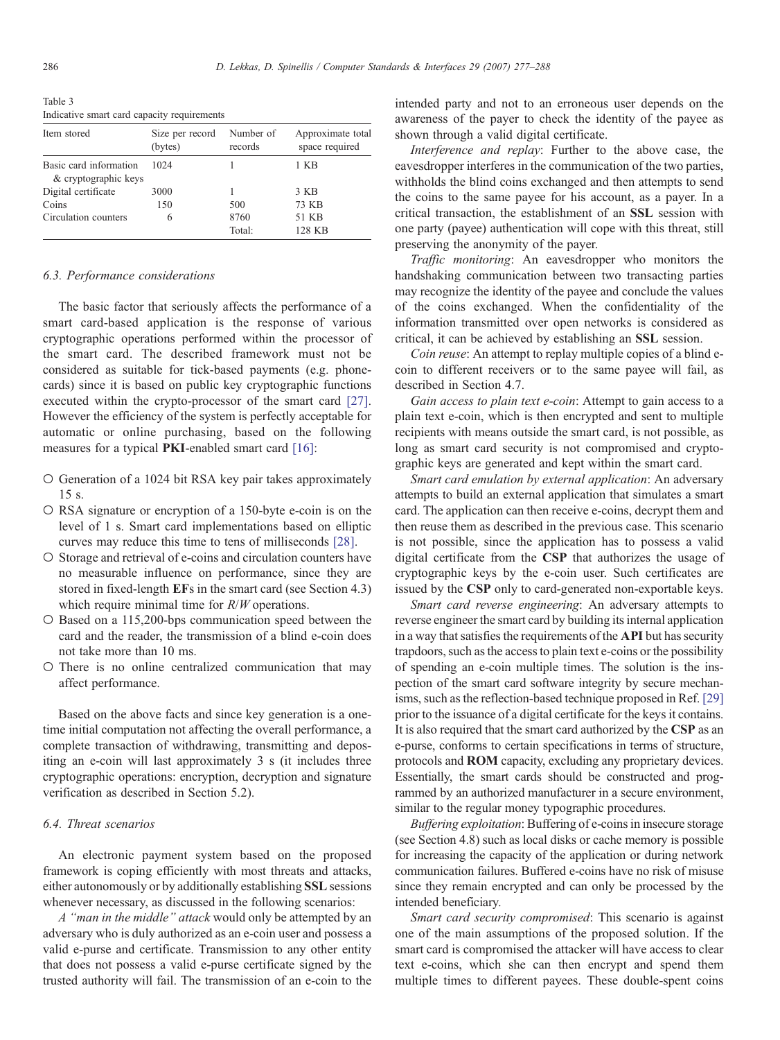<span id="page-9-0"></span>Table 3 Indicative smart card capacity requirements

| Item stored                                    | Size per record<br>(bytes) | Number of<br>records | Approximate total<br>space required |
|------------------------------------------------|----------------------------|----------------------|-------------------------------------|
| Basic card information<br>& cryptographic keys | 1024                       |                      | 1 KB                                |
| Digital certificate                            | 3000                       |                      | 3 KB                                |
| Coins                                          | 150                        | 500                  | 73 KB                               |
| Circulation counters                           | 6                          | 8760<br>Total:       | 51 KB<br>128 KB                     |

#### 6.3. Performance considerations

The basic factor that seriously affects the performance of a smart card-based application is the response of various cryptographic operations performed within the processor of the smart card. The described framework must not be considered as suitable for tick-based payments (e.g. phonecards) since it is based on public key cryptographic functions executed within the crypto-processor of the smart card [\[27\]](#page-11-0). However the efficiency of the system is perfectly acceptable for automatic or online purchasing, based on the following measures for a typical PKI-enabled smart card [\[16\]:](#page-11-0)

- Generation of a 1024 bit RSA key pair takes approximately 15 s.
- RSA signature or encryption of a 150-byte e-coin is on the level of 1 s. Smart card implementations based on elliptic curves may reduce this time to tens of milliseconds [\[28\].](#page-11-0)
- Storage and retrieval of e-coins and circulation counters have no measurable influence on performance, since they are stored in fixed-length EFs in the smart card (see Section 4.3) which require minimal time for  $R/W$  operations.
- $\circ$  Based on a 115,200-bps communication speed between the card and the reader, the transmission of a blind e-coin does not take more than 10 ms.
- There is no online centralized communication that may affect performance.

Based on the above facts and since key generation is a onetime initial computation not affecting the overall performance, a complete transaction of withdrawing, transmitting and depositing an e-coin will last approximately 3 s (it includes three cryptographic operations: encryption, decryption and signature verification as described in Section 5.2).

# 6.4. Threat scenarios

An electronic payment system based on the proposed framework is coping efficiently with most threats and attacks, either autonomously or by additionally establishing SSL sessions whenever necessary, as discussed in the following scenarios:

A "man in the middle" attack would only be attempted by an adversary who is duly authorized as an e-coin user and possess a valid e-purse and certificate. Transmission to any other entity that does not possess a valid e-purse certificate signed by the trusted authority will fail. The transmission of an e-coin to the

intended party and not to an erroneous user depends on the awareness of the payer to check the identity of the payee as shown through a valid digital certificate.

Interference and replay: Further to the above case, the eavesdropper interferes in the communication of the two parties, withholds the blind coins exchanged and then attempts to send the coins to the same payee for his account, as a payer. In a critical transaction, the establishment of an SSL session with one party (payee) authentication will cope with this threat, still preserving the anonymity of the payer.

Traffic monitoring: An eavesdropper who monitors the handshaking communication between two transacting parties may recognize the identity of the payee and conclude the values of the coins exchanged. When the confidentiality of the information transmitted over open networks is considered as critical, it can be achieved by establishing an SSL session.

Coin reuse: An attempt to replay multiple copies of a blind ecoin to different receivers or to the same payee will fail, as described in Section 4.7.

Gain access to plain text e-coin: Attempt to gain access to a plain text e-coin, which is then encrypted and sent to multiple recipients with means outside the smart card, is not possible, as long as smart card security is not compromised and cryptographic keys are generated and kept within the smart card.

Smart card emulation by external application: An adversary attempts to build an external application that simulates a smart card. The application can then receive e-coins, decrypt them and then reuse them as described in the previous case. This scenario is not possible, since the application has to possess a valid digital certificate from the CSP that authorizes the usage of cryptographic keys by the e-coin user. Such certificates are issued by the CSP only to card-generated non-exportable keys.

Smart card reverse engineering: An adversary attempts to reverse engineer the smart card by building its internal application in a way that satisfies the requirements of the API but has security trapdoors, such as the access to plain text e-coins or the possibility of spending an e-coin multiple times. The solution is the inspection of the smart card software integrity by secure mechanisms, such as the reflection-based technique proposed in Ref. [\[29\]](#page-11-0) prior to the issuance of a digital certificate for the keys it contains. It is also required that the smart card authorized by the CSP as an e-purse, conforms to certain specifications in terms of structure, protocols and ROM capacity, excluding any proprietary devices. Essentially, the smart cards should be constructed and programmed by an authorized manufacturer in a secure environment, similar to the regular money typographic procedures.

Buffering exploitation: Buffering of e-coins in insecure storage (see Section 4.8) such as local disks or cache memory is possible for increasing the capacity of the application or during network communication failures. Buffered e-coins have no risk of misuse since they remain encrypted and can only be processed by the intended beneficiary.

Smart card security compromised: This scenario is against one of the main assumptions of the proposed solution. If the smart card is compromised the attacker will have access to clear text e-coins, which she can then encrypt and spend them multiple times to different payees. These double-spent coins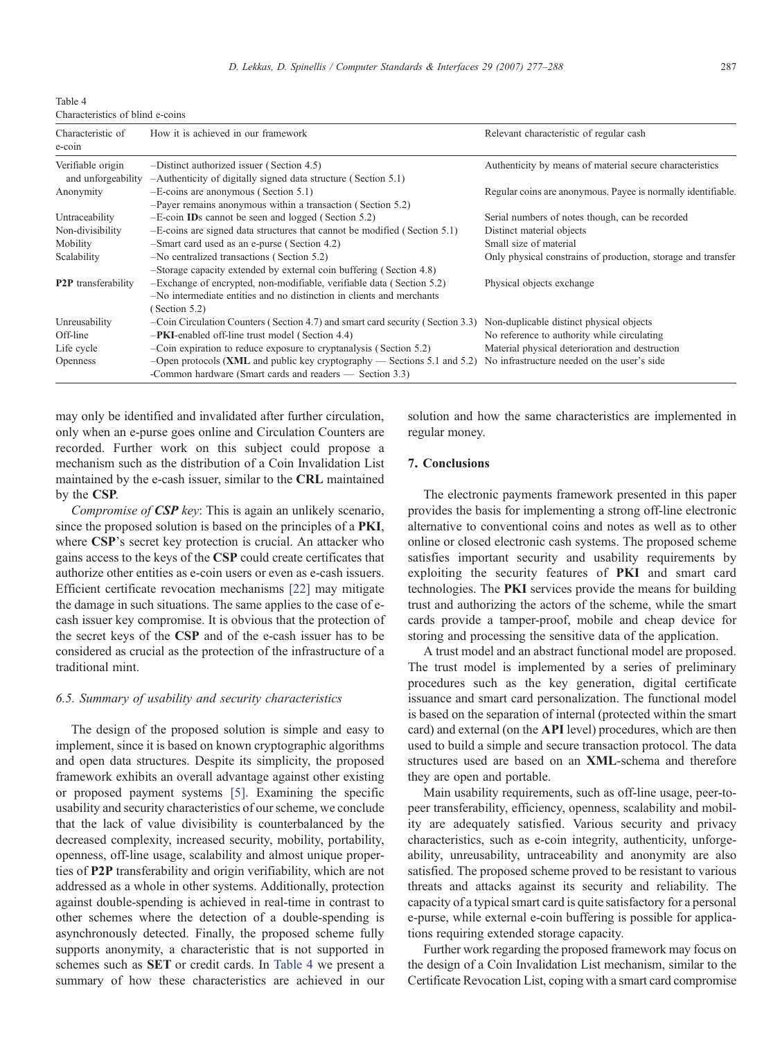| Table 4                          |  |
|----------------------------------|--|
| Characteristics of blind e-coins |  |

| Characteristic of<br>e-coin             | How it is achieved in our framework                                                                                                                                                | Relevant characteristic of regular cash                      |
|-----------------------------------------|------------------------------------------------------------------------------------------------------------------------------------------------------------------------------------|--------------------------------------------------------------|
| Verifiable origin<br>and unforgeability | -Distinct authorized issuer (Section 4.5)<br>-Authenticity of digitally signed data structure (Section 5.1)                                                                        | Authenticity by means of material secure characteristics     |
| Anonymity                               | $-E$ -coins are anonymous (Section 5.1)<br>$-Payer$ remains anonymous within a transaction (Section 5.2)                                                                           | Regular coins are anonymous. Payee is normally identifiable. |
| Untraceability                          | $-E$ -coin <b>ID</b> s cannot be seen and logged (Section 5.2)                                                                                                                     | Serial numbers of notes though, can be recorded              |
| Non-divisibility                        | -E-coins are signed data structures that cannot be modified (Section 5.1)                                                                                                          | Distinct material objects                                    |
| Mobility                                | -Smart card used as an e-purse (Section 4.2)                                                                                                                                       | Small size of material                                       |
| Scalability                             | -No centralized transactions (Section 5.2)<br>-Storage capacity extended by external coin buffering (Section 4.8)                                                                  | Only physical constrains of production, storage and transfer |
| <b>P2P</b> transferability              | -Exchange of encrypted, non-modifiable, verifiable data (Section 5.2)<br>-No intermediate entities and no distinction in clients and merchants<br>(Section 5.2)                    | Physical objects exchange                                    |
| Unreusability                           | -Coin Circulation Counters (Section 4.7) and smart card security (Section 3.3) Non-duplicable distinct physical objects                                                            |                                                              |
| Off-line                                | - <b>PKI</b> -enabled off-line trust model (Section 4.4)                                                                                                                           | No reference to authority while circulating                  |
| Life cycle                              | -Coin expiration to reduce exposure to cryptanalysis (Section 5.2)                                                                                                                 | Material physical deterioration and destruction              |
| <b>Openness</b>                         | -Open protocols (XML and public key cryptography $-$ Sections 5.1 and 5.2) No infrastructure needed on the user's side<br>-Common hardware (Smart cards and readers — Section 3.3) |                                                              |

may only be identified and invalidated after further circulation, only when an e-purse goes online and Circulation Counters are recorded. Further work on this subject could propose a mechanism such as the distribution of a Coin Invalidation List maintained by the e-cash issuer, similar to the CRL maintained by the CSP.

Compromise of **CSP** key: This is again an unlikely scenario, since the proposed solution is based on the principles of a PKI, where CSP's secret key protection is crucial. An attacker who gains access to the keys of the CSP could create certificates that authorize other entities as e-coin users or even as e-cash issuers. Efficient certificate revocation mechanisms [\[22\]](#page-11-0) may mitigate the damage in such situations. The same applies to the case of ecash issuer key compromise. It is obvious that the protection of the secret keys of the CSP and of the e-cash issuer has to be considered as crucial as the protection of the infrastructure of a traditional mint.

### 6.5. Summary of usability and security characteristics

The design of the proposed solution is simple and easy to implement, since it is based on known cryptographic algorithms and open data structures. Despite its simplicity, the proposed framework exhibits an overall advantage against other existing or proposed payment systems [\[5\]](#page-11-0). Examining the specific usability and security characteristics of our scheme, we conclude that the lack of value divisibility is counterbalanced by the decreased complexity, increased security, mobility, portability, openness, off-line usage, scalability and almost unique properties of P2P transferability and origin verifiability, which are not addressed as a whole in other systems. Additionally, protection against double-spending is achieved in real-time in contrast to other schemes where the detection of a double-spending is asynchronously detected. Finally, the proposed scheme fully supports anonymity, a characteristic that is not supported in schemes such as SET or credit cards. In Table 4 we present a summary of how these characteristics are achieved in our solution and how the same characteristics are implemented in regular money.

# 7. Conclusions

The electronic payments framework presented in this paper provides the basis for implementing a strong off-line electronic alternative to conventional coins and notes as well as to other online or closed electronic cash systems. The proposed scheme satisfies important security and usability requirements by exploiting the security features of PKI and smart card technologies. The PKI services provide the means for building trust and authorizing the actors of the scheme, while the smart cards provide a tamper-proof, mobile and cheap device for storing and processing the sensitive data of the application.

A trust model and an abstract functional model are proposed. The trust model is implemented by a series of preliminary procedures such as the key generation, digital certificate issuance and smart card personalization. The functional model is based on the separation of internal (protected within the smart card) and external (on the API level) procedures, which are then used to build a simple and secure transaction protocol. The data structures used are based on an XML-schema and therefore they are open and portable.

Main usability requirements, such as off-line usage, peer-topeer transferability, efficiency, openness, scalability and mobility are adequately satisfied. Various security and privacy characteristics, such as e-coin integrity, authenticity, unforgeability, unreusability, untraceability and anonymity are also satisfied. The proposed scheme proved to be resistant to various threats and attacks against its security and reliability. The capacity of a typical smart card is quite satisfactory for a personal e-purse, while external e-coin buffering is possible for applications requiring extended storage capacity.

Further work regarding the proposed framework may focus on the design of a Coin Invalidation List mechanism, similar to the Certificate Revocation List, coping with a smart card compromise